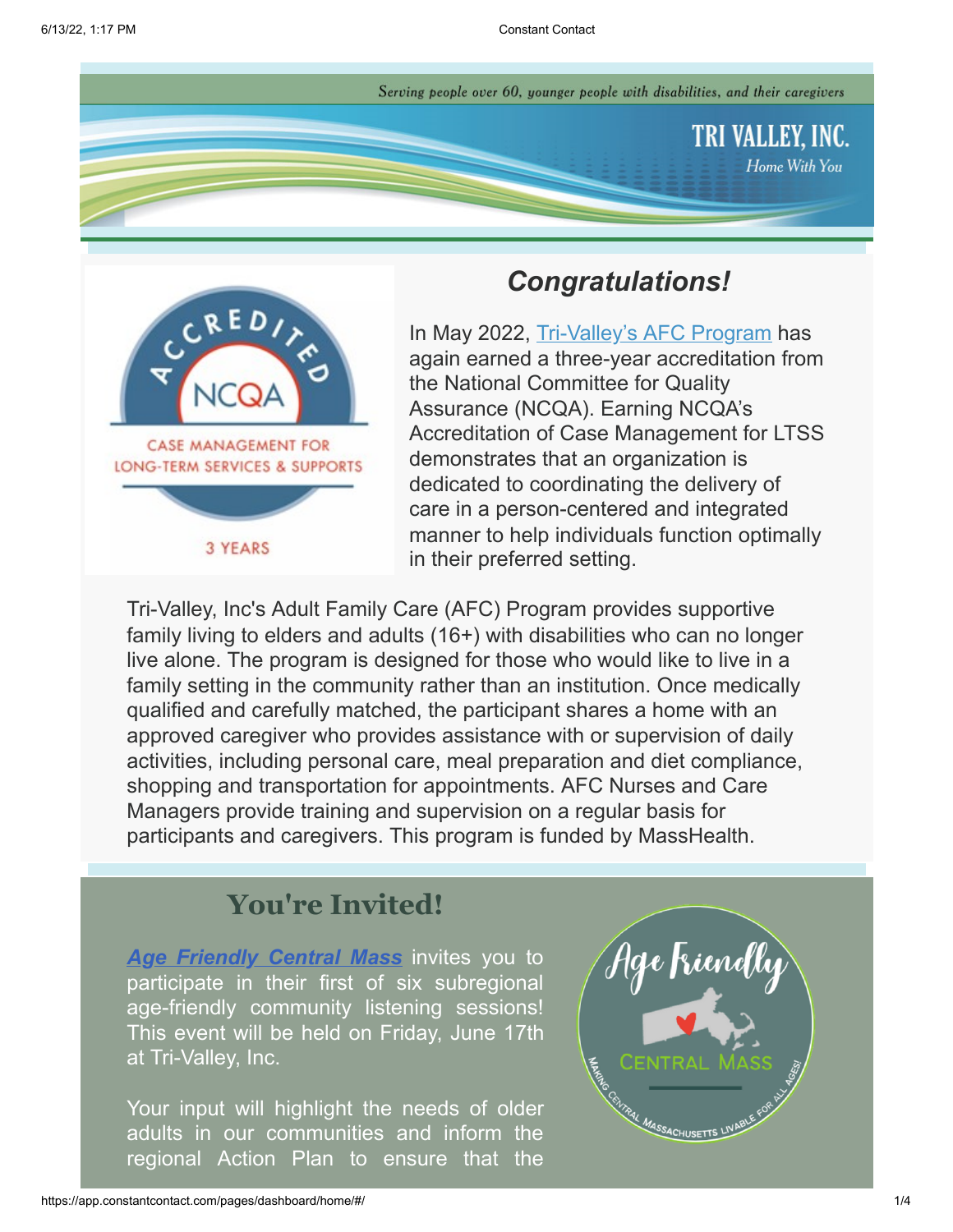Serving people over 60, younger people with disabilities, and their caregivers





# *Congratulations!*

In May 2022, [Tri-Valley's AFC Program](https://www.trivalleyinc.org/in-home-services/adult-family-care/) has again earned a three-year accreditation from the National Committee for Quality Assurance (NCQA). Earning NCQA's Accreditation of Case Management for LTSS demonstrates that an organization is dedicated to coordinating the delivery of care in a person-centered and integrated manner to help individuals function optimally in their preferred setting.

Tri-Valley, Inc's Adult Family Care (AFC) Program provides supportive family living to elders and adults (16+) with disabilities who can no longer live alone. The program is designed for those who would like to live in a family setting in the community rather than an institution. Once medically qualified and carefully matched, the participant shares a home with an approved caregiver who provides assistance with or supervision of daily activities, including personal care, meal preparation and diet compliance, shopping and transportation for appointments. AFC Nurses and Care Managers provide training and supervision on a regular basis for participants and caregivers. This program is funded by MassHealth.

# **You're Invited!**

*[Age Friendly Central Mass](https://www.cmrpcregionalservices.org/age-friendly)* invites you to participate in their first of six subregional age-friendly community listening sessions! This event will be held on Friday, June 17th at Tri-Valley, Inc.

Your input will highlight the needs of older adults in our communities and inform the regional Action Plan to ensure that the

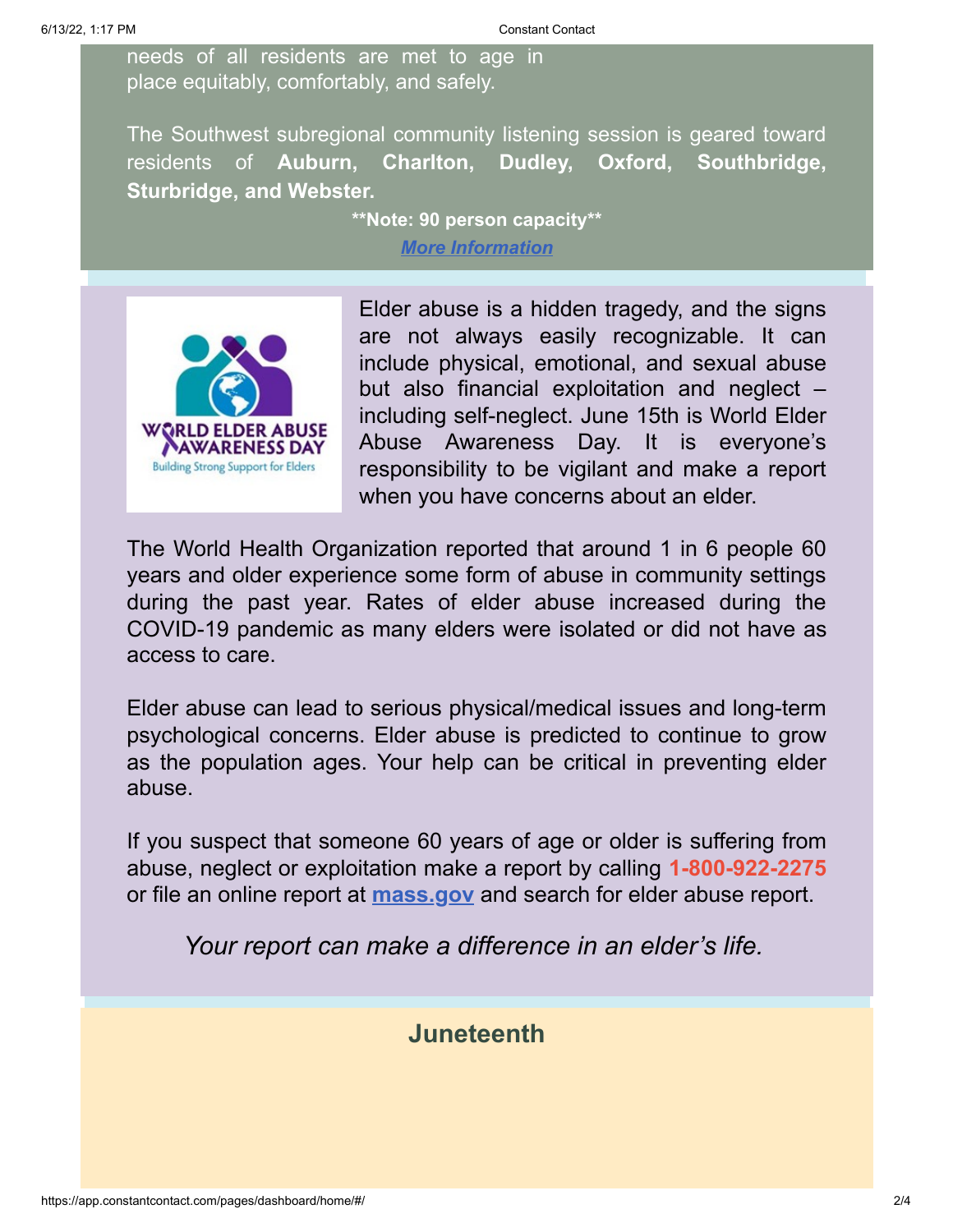needs of all residents are met to age in place equitably, comfortably, and safely.

The Southwest subregional community listening session is geared toward residents of **Auburn, Charlton, Dudley, Oxford, Southbridge, Sturbridge, and Webster.**

**\*\*Note: 90 person capacity\*\***

*[More Information](https://www.trivalleyinc.org/events/age-friendly-central-mass-community-listening-session/)*



Elder abuse is a hidden tragedy, and the signs are not always easily recognizable. It can include physical, emotional, and sexual abuse but also financial exploitation and neglect – including self-neglect. June 15th is World Elder Abuse Awareness Day. It is everyone's responsibility to be vigilant and make a report when you have concerns about an elder.

The World Health Organization reported that around 1 in 6 people 60 years and older experience some form of abuse in community settings during the past year. Rates of elder abuse increased during the COVID-19 pandemic as many elders were isolated or did not have as access to care.

Elder abuse can lead to serious physical/medical issues and long-term psychological concerns. Elder abuse is predicted to continue to grow as the population ages. Your help can be critical in preventing elder abuse.

If you suspect that someone 60 years of age or older is suffering from abuse, neglect or exploitation make a report by calling **1-800-922-2275** or file an online report at **[mass.gov](https://www.mass.gov/how-to/report-elder-abuse)** and search for elder abuse report.

*Your report can make a difference in an elder's life.*

## **Juneteenth**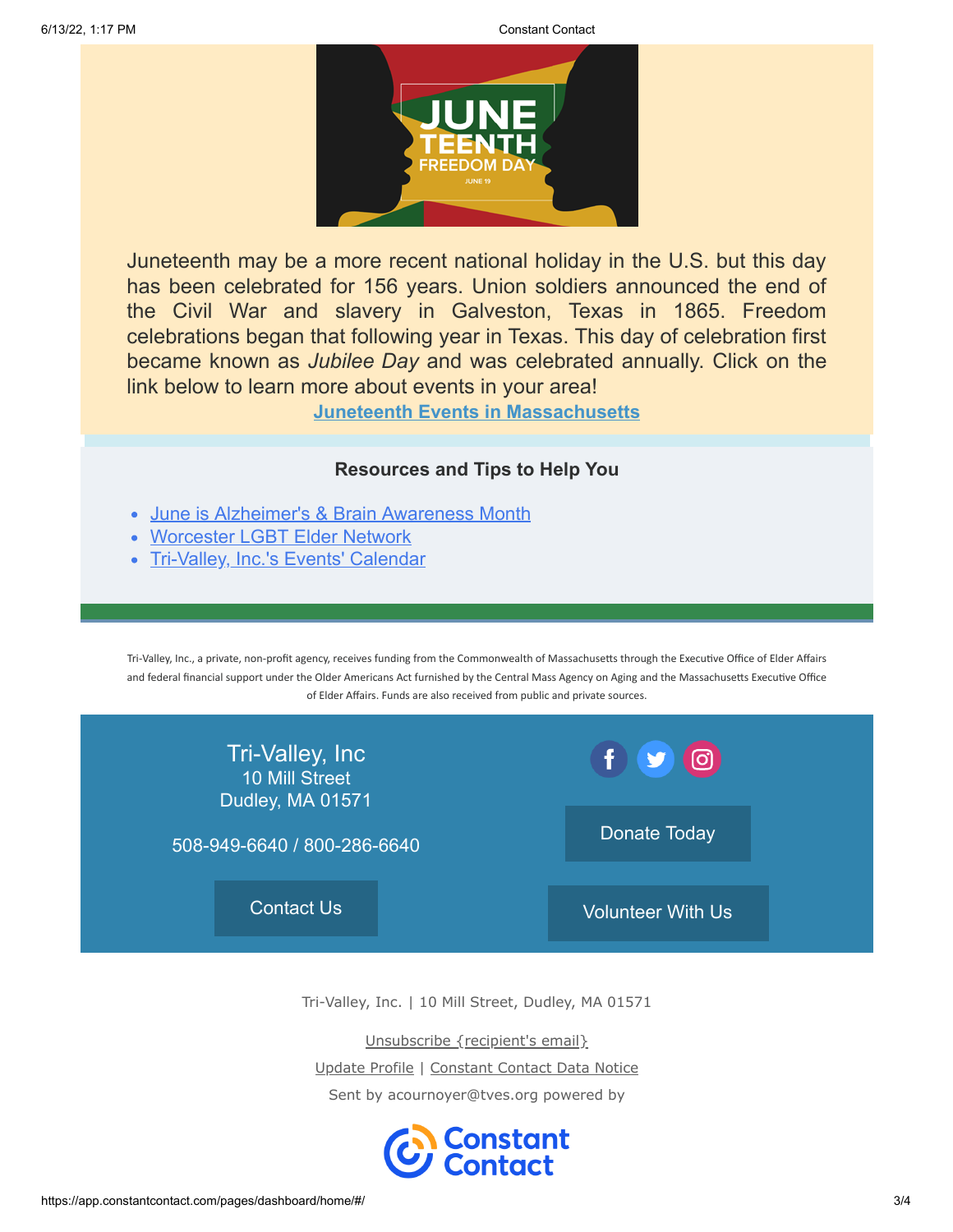

Juneteenth may be a more recent national holiday in the U.S. but this day has been celebrated for 156 years. Union soldiers announced the end of the Civil War and slavery in Galveston, Texas in 1865. Freedom celebrations began that following year in Texas. This day of celebration first became known as *Jubilee Day* and was celebrated annually. Click on the link below to learn more about events in your area!

**[Juneteenth Events in Massachusetts](https://www.google.com/search?q=juneteenth+events+massachusetts&rlz=1C1CHBF_enUS988US988&oq=juneteenth+celebrations+mas&aqs=chrome.2.69i57j0i22i30l3j0i390l3.6845j1j4&sourceid=chrome&ie=UTF-8&ibp=htl;events&rciv=evn&sa=X&ved=2ahUKEwjFjK3Vz6P4AhWXg3IEHSO4D5YQ8eoFKAJ6BAgQEA8&sxsrf=ALiCzsb9rFB0-m1znMvJrAVkN94YPLmD_w:1654889464421#htivrt=events&htidocid=L2F1dGhvcml0eS9ob3Jpem9uL2NsdXN0ZXJlZF9ldmVudC8yMDIyLTA2LTE3fDc2OTIwNjI4Njc2OTg5MTAxMzM%3D&fpstate=tldetail)**

### **Resources and Tips to Help You**

- [June is Alzheimer's & Brain Awareness Month](http://alz.org/)
- [Worcester LGBT Elder Network](https://myemail.constantcontact.com/WLEN-LGBT-News-for-Older-Adults-in-Central-Massachusetts.html?soid=1102564336837&aid=IAAXfGvbSw0)
- [Tri-Valley, Inc.'s Events' Calendar](https://www.trivalleyinc.org/events-calendar/)

Tri-Valley, Inc., a private, non-profit agency, receives funding from the Commonwealth of Massachusetts through the Executive Office of Elder Affairs and federal financial support under the Older Americans Act furnished by the Central Mass Agency on Aging and the Massachusetts Executive Office of Elder Affairs. Funds are also received from public and private sources.



Tri-Valley, Inc. | 10 Mill Street, Dudley, MA 01571

Unsubscribe {recipient's email}

Update Profile | [Constant Contact Data Notice](https://www.constantcontact.com/legal/customer-contact-data-notice)

Sent by [acournoyer@tves.org](mailto:acournoyer@tves.org) powered by